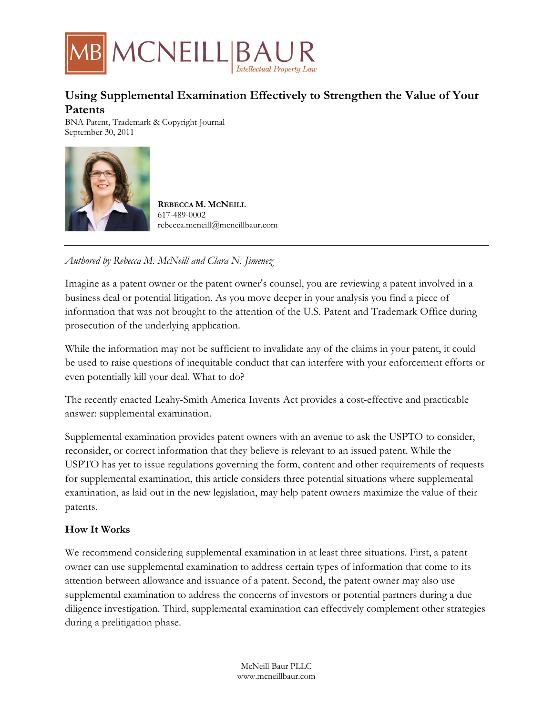

# **Using Supplemental Examination Effectively to Strengthen the Value of Your Patents**

BNA Patent, Trademark & Copyright Journal September 30, 2011



**REBECCA M. MCNEILL** 617-489-0002 rebecca.mcneill@mcneillbaur.com

*Authored by Rebecca M. McNeill and Clara N. Jimenez* 

Imagine as a patent owner or the patent owner's counsel, you are reviewing a patent involved in a business deal or potential litigation. As you move deeper in your analysis you find a piece of information that was not brought to the attention of the U.S. Patent and Trademark Office during prosecution of the underlying application.

While the information may not be sufficient to invalidate any of the claims in your patent, it could be used to raise questions of inequitable conduct that can interfere with your enforcement efforts or even potentially kill your deal. What to do?

The recently enacted Leahy-Smith America Invents Act provides a cost-effective and practicable answer: supplemental examination.

Supplemental examination provides patent owners with an avenue to ask the USPTO to consider, reconsider, or correct information that they believe is relevant to an issued patent. While the USPTO has yet to issue regulations governing the form, content and other requirements of requests for supplemental examination, this article considers three potential situations where supplemental examination, as laid out in the new legislation, may help patent owners maximize the value of their patents.

## **How It Works**

We recommend considering supplemental examination in at least three situations. First, a patent owner can use supplemental examination to address certain types of information that come to its attention between allowance and issuance of a patent. Second, the patent owner may also use supplemental examination to address the concerns of investors or potential partners during a due diligence investigation. Third, supplemental examination can effectively complement other strategies during a prelitigation phase.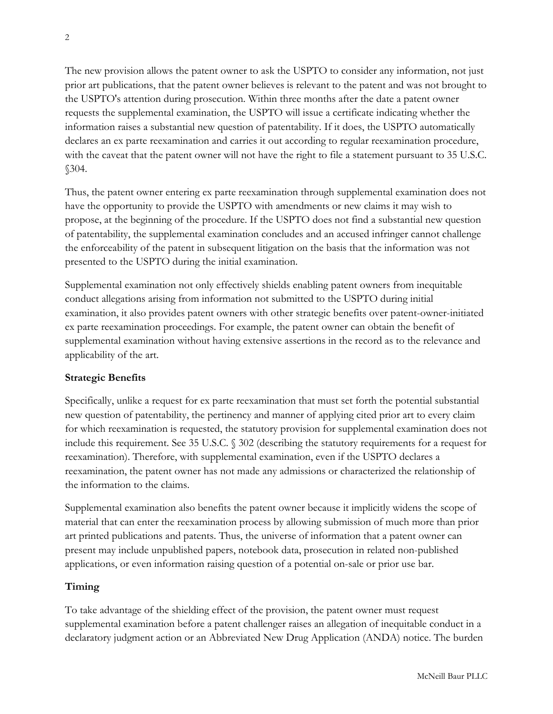The new provision allows the patent owner to ask the USPTO to consider any information, not just prior art publications, that the patent owner believes is relevant to the patent and was not brought to the USPTO's attention during prosecution. Within three months after the date a patent owner requests the supplemental examination, the USPTO will issue a certificate indicating whether the information raises a substantial new question of patentability. If it does, the USPTO automatically declares an ex parte reexamination and carries it out according to regular reexamination procedure, with the caveat that the patent owner will not have the right to file a statement pursuant to 35 U.S.C. §304.

Thus, the patent owner entering ex parte reexamination through supplemental examination does not have the opportunity to provide the USPTO with amendments or new claims it may wish to propose, at the beginning of the procedure. If the USPTO does not find a substantial new question of patentability, the supplemental examination concludes and an accused infringer cannot challenge the enforceability of the patent in subsequent litigation on the basis that the information was not presented to the USPTO during the initial examination.

Supplemental examination not only effectively shields enabling patent owners from inequitable conduct allegations arising from information not submitted to the USPTO during initial examination, it also provides patent owners with other strategic benefits over patent-owner-initiated ex parte reexamination proceedings. For example, the patent owner can obtain the benefit of supplemental examination without having extensive assertions in the record as to the relevance and applicability of the art.

#### **Strategic Benefits**

Specifically, unlike a request for ex parte reexamination that must set forth the potential substantial new question of patentability, the pertinency and manner of applying cited prior art to every claim for which reexamination is requested, the statutory provision for supplemental examination does not include this requirement. See 35 U.S.C. § 302 (describing the statutory requirements for a request for reexamination). Therefore, with supplemental examination, even if the USPTO declares a reexamination, the patent owner has not made any admissions or characterized the relationship of the information to the claims.

Supplemental examination also benefits the patent owner because it implicitly widens the scope of material that can enter the reexamination process by allowing submission of much more than prior art printed publications and patents. Thus, the universe of information that a patent owner can present may include unpublished papers, notebook data, prosecution in related non-published applications, or even information raising question of a potential on-sale or prior use bar.

#### **Timing**

To take advantage of the shielding effect of the provision, the patent owner must request supplemental examination before a patent challenger raises an allegation of inequitable conduct in a declaratory judgment action or an Abbreviated New Drug Application (ANDA) notice. The burden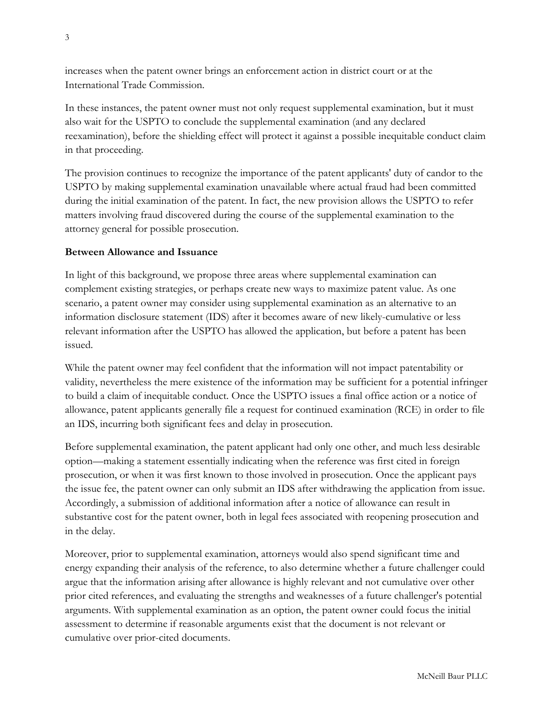increases when the patent owner brings an enforcement action in district court or at the International Trade Commission.

In these instances, the patent owner must not only request supplemental examination, but it must also wait for the USPTO to conclude the supplemental examination (and any declared reexamination), before the shielding effect will protect it against a possible inequitable conduct claim in that proceeding.

The provision continues to recognize the importance of the patent applicants' duty of candor to the USPTO by making supplemental examination unavailable where actual fraud had been committed during the initial examination of the patent. In fact, the new provision allows the USPTO to refer matters involving fraud discovered during the course of the supplemental examination to the attorney general for possible prosecution.

#### **Between Allowance and Issuance**

In light of this background, we propose three areas where supplemental examination can complement existing strategies, or perhaps create new ways to maximize patent value. As one scenario, a patent owner may consider using supplemental examination as an alternative to an information disclosure statement (IDS) after it becomes aware of new likely-cumulative or less relevant information after the USPTO has allowed the application, but before a patent has been issued.

While the patent owner may feel confident that the information will not impact patentability or validity, nevertheless the mere existence of the information may be sufficient for a potential infringer to build a claim of inequitable conduct. Once the USPTO issues a final office action or a notice of allowance, patent applicants generally file a request for continued examination (RCE) in order to file an IDS, incurring both significant fees and delay in prosecution.

Before supplemental examination, the patent applicant had only one other, and much less desirable option—making a statement essentially indicating when the reference was first cited in foreign prosecution, or when it was first known to those involved in prosecution. Once the applicant pays the issue fee, the patent owner can only submit an IDS after withdrawing the application from issue. Accordingly, a submission of additional information after a notice of allowance can result in substantive cost for the patent owner, both in legal fees associated with reopening prosecution and in the delay.

Moreover, prior to supplemental examination, attorneys would also spend significant time and energy expanding their analysis of the reference, to also determine whether a future challenger could argue that the information arising after allowance is highly relevant and not cumulative over other prior cited references, and evaluating the strengths and weaknesses of a future challenger's potential arguments. With supplemental examination as an option, the patent owner could focus the initial assessment to determine if reasonable arguments exist that the document is not relevant or cumulative over prior-cited documents.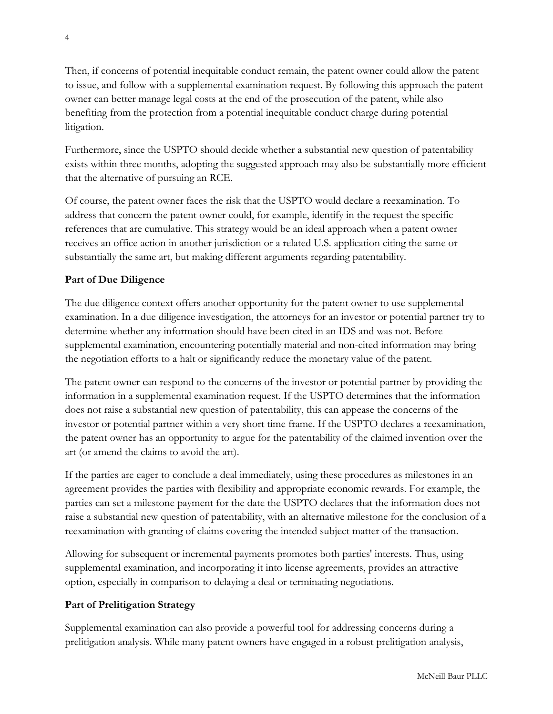Then, if concerns of potential inequitable conduct remain, the patent owner could allow the patent to issue, and follow with a supplemental examination request. By following this approach the patent owner can better manage legal costs at the end of the prosecution of the patent, while also benefiting from the protection from a potential inequitable conduct charge during potential litigation.

Furthermore, since the USPTO should decide whether a substantial new question of patentability exists within three months, adopting the suggested approach may also be substantially more efficient that the alternative of pursuing an RCE.

Of course, the patent owner faces the risk that the USPTO would declare a reexamination. To address that concern the patent owner could, for example, identify in the request the specific references that are cumulative. This strategy would be an ideal approach when a patent owner receives an office action in another jurisdiction or a related U.S. application citing the same or substantially the same art, but making different arguments regarding patentability.

# **Part of Due Diligence**

The due diligence context offers another opportunity for the patent owner to use supplemental examination. In a due diligence investigation, the attorneys for an investor or potential partner try to determine whether any information should have been cited in an IDS and was not. Before supplemental examination, encountering potentially material and non-cited information may bring the negotiation efforts to a halt or significantly reduce the monetary value of the patent.

The patent owner can respond to the concerns of the investor or potential partner by providing the information in a supplemental examination request. If the USPTO determines that the information does not raise a substantial new question of patentability, this can appease the concerns of the investor or potential partner within a very short time frame. If the USPTO declares a reexamination, the patent owner has an opportunity to argue for the patentability of the claimed invention over the art (or amend the claims to avoid the art).

If the parties are eager to conclude a deal immediately, using these procedures as milestones in an agreement provides the parties with flexibility and appropriate economic rewards. For example, the parties can set a milestone payment for the date the USPTO declares that the information does not raise a substantial new question of patentability, with an alternative milestone for the conclusion of a reexamination with granting of claims covering the intended subject matter of the transaction.

Allowing for subsequent or incremental payments promotes both parties' interests. Thus, using supplemental examination, and incorporating it into license agreements, provides an attractive option, especially in comparison to delaying a deal or terminating negotiations.

## **Part of Prelitigation Strategy**

Supplemental examination can also provide a powerful tool for addressing concerns during a prelitigation analysis. While many patent owners have engaged in a robust prelitigation analysis,